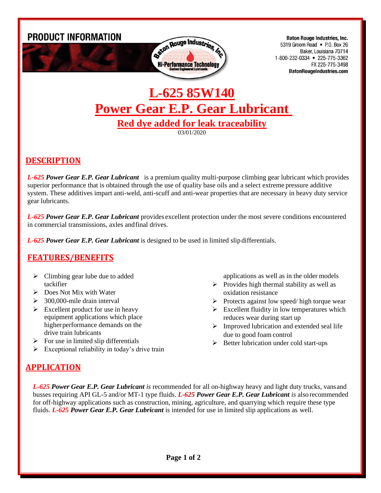

**Baton Rouge Industries, Inc.** 5319 Groom Road • P.O. Box 26 Baker, Louisiana 70714 1-800-232-0334 • 225-775-3362 FX 225-775-3498 **BatonRougeIndustries.com** 

# **L-625 85W140 Power Gear E.P. Gear Lubricant Red dye added for leak traceability**

03/01/2020

# **DESCRIPTION**

*L-625 Power Gear E.P. Gear Lubricant* is a premium quality multi-purpose climbing gear lubricant which provides superior performance that is obtained through the use of quality base oils and a select extreme pressure additive system. These additives impart anti-weld, anti-scuff and anti-wear properties that are necessary in heavy duty service gear lubricants.

*L-625 Power Gear E.P. Gear Lubricant* provides excellent protection under the most severe conditions encountered in commercial transmissions, axles andfinal drives.

*L-625 Power Gear E.P. Gear Lubricant* is designed to be used in limited slip differentials.

### **FEATURES/BENEFITS**

- $\triangleright$  Climbing gear lube due to added tackifier
- ➢ Does Not Mix with Water
- $\geq$  300,000-mile drain interval
- $\triangleright$  Excellent product for use in heavy equipment applications which place higherperformance demands on the drive train lubricants
- $\triangleright$  For use in limited slip differentials
- $\triangleright$  Exceptional reliability in today's drive train

applications as well as in the older models

- $\triangleright$  Provides high thermal stability as well as oxidation resistance
- ➢ Protects against low speed/ high torque wear
- $\triangleright$  Excellent fluidity in low temperatures which reduces wear during start up
- $\triangleright$  Improved lubrication and extended seal life due to good foam control
- ➢ Better lubrication under cold start-ups

# **APPLICATION**

*L-625 Power Gear E.P. Gear Lubricant is* recommended for all on-highway heavy and light duty trucks, vansand busses requiring API GL-5 and/or MT-1 type fluids. *L-625 Power Gear E.P. Gear Lubricant is* also recommended for off-highway applications such as construction, mining, agriculture, and quarrying which require these type fluids. *L-625 Power Gear E.P. Gear Lubricant* is intended for use in limited slip applications as well.